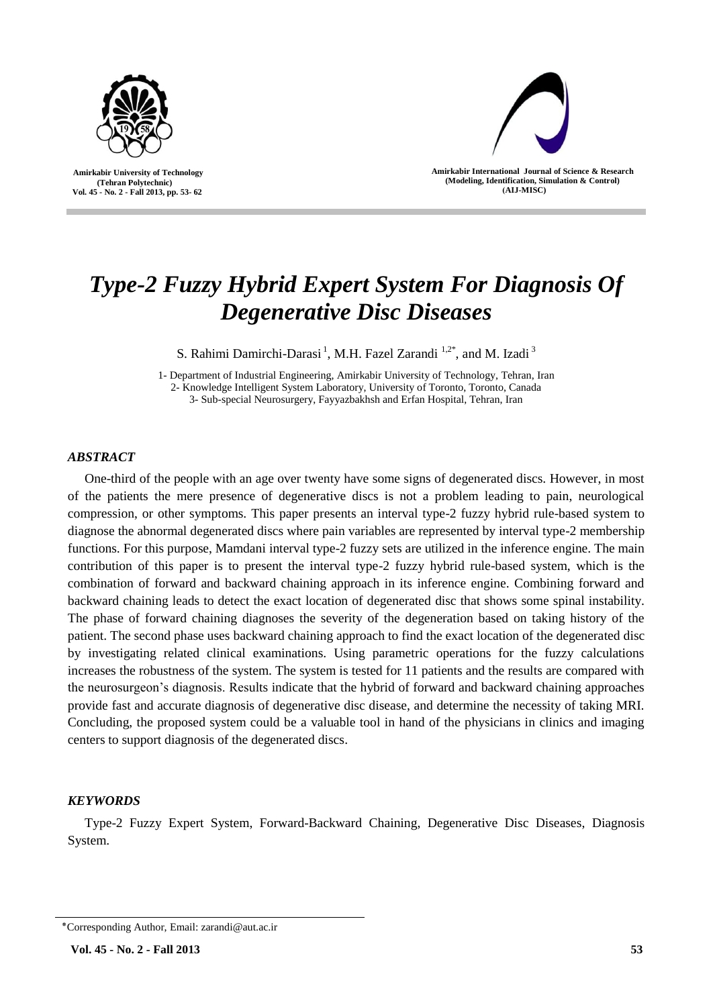

 **Amirkabir University of Technology (Tehran Polytechnic) Vol. 45 - No. 2 - Fall 2013, pp. 53- 62**



**Amirkabir International Journal of Science & Research (Modeling, Identification, Simulation & Control) )AIJ-MISC)**

# *Type-2 Fuzzy Hybrid Expert System For Diagnosis Of Degenerative Disc Diseases*

S. Rahimi Damirchi-Darasi<sup>1</sup>, M.H. Fazel Zarandi<sup>1,2\*</sup>, and M. Izadi<sup>3</sup>

1- Department of Industrial Engineering, Amirkabir University of Technology, Tehran, Iran 2- Knowledge Intelligent System Laboratory, University of Toronto, Toronto, Canada 3- Sub-special Neurosurgery, Fayyazbakhsh and Erfan Hospital, Tehran, Iran

# *ABSTRACT*

One-third of the people with an age over twenty have some signs of degenerated discs. However, in most of the patients the mere presence of degenerative discs is not a problem leading to pain, neurological compression, or other symptoms. This paper presents an interval type-2 fuzzy hybrid rule-based system to diagnose the abnormal degenerated discs where pain variables are represented by interval type-2 membership functions. For this purpose, Mamdani interval type-2 fuzzy sets are utilized in the inference engine. The main contribution of this paper is to present the interval type-2 fuzzy hybrid rule-based system, which is the combination of forward and backward chaining approach in its inference engine. Combining forward and backward chaining leads to detect the exact location of degenerated disc that shows some spinal instability. The phase of forward chaining diagnoses the severity of the degeneration based on taking history of the patient. The second phase uses backward chaining approach to find the exact location of the degenerated disc by investigating related clinical examinations. Using parametric operations for the fuzzy calculations increases the robustness of the system. The system is tested for 11 patients and the results are compared with the neurosurgeon's diagnosis. Results indicate that the hybrid of forward and backward chaining approaches provide fast and accurate diagnosis of degenerative disc disease, and determine the necessity of taking MRI. Concluding, the proposed system could be a valuable tool in hand of the physicians in clinics and imaging centers to support diagnosis of the degenerated discs.

# *KEYWORDS*

Type-2 Fuzzy Expert System, Forward-Backward Chaining, Degenerative Disc Diseases, Diagnosis System.

<sup>٭</sup>Corresponding Author, Email: zarandi@aut.ac.ir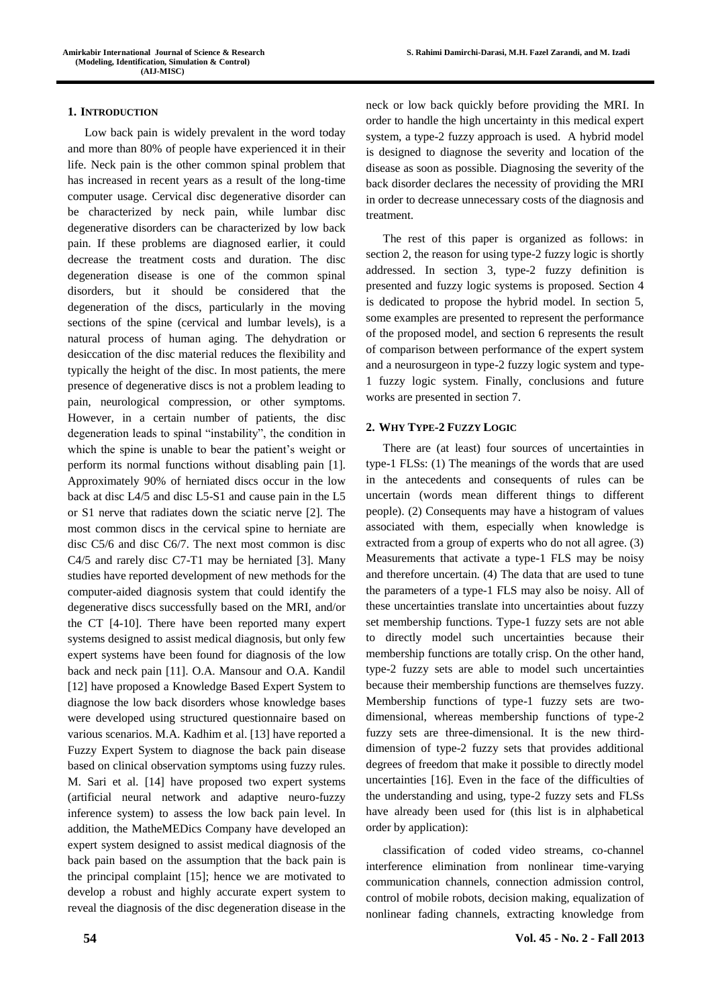### **1. INTRODUCTION**

Low back pain is widely prevalent in the word today and more than 80% of people have experienced it in their life. Neck pain is the other common spinal problem that has increased in recent years as a result of the long-time computer usage. Cervical disc degenerative disorder can be characterized by neck pain, while lumbar disc degenerative disorders can be characterized by low back pain. If these problems are diagnosed earlier, it could decrease the treatment costs and duration. The disc degeneration disease is one of the common spinal disorders, but it should be considered that the degeneration of the discs, particularly in the moving sections of the spine (cervical and lumbar levels), is a natural process of human aging. The dehydration or desiccation of the disc material reduces the flexibility and typically the height of the disc. In most patients, the mere presence of degenerative discs is not a problem leading to pain, neurological compression, or other symptoms. However, in a certain number of patients, the disc degeneration leads to spinal "instability", the condition in which the spine is unable to bear the patient's weight or perform its normal functions without disabling pain [1]. Approximately 90% of herniated discs occur in the low back at disc L4/5 and disc L5-S1 and cause pain in the L5 or S1 nerve that radiates down the sciatic nerve [2]. The most common discs in the cervical spine to herniate are disc C5/6 and disc C6/7. The next most common is disc C4/5 and rarely disc C7-T1 may be herniated [3]. Many studies have reported development of new methods for the computer-aided diagnosis system that could identify the degenerative discs successfully based on the MRI, and/or the CT [4-10]. There have been reported many expert systems designed to assist medical diagnosis, but only few expert systems have been found for diagnosis of the low back and neck pain [11]. O.A. Mansour and O.A. Kandil [12] have proposed a Knowledge Based Expert System to diagnose the low back disorders whose knowledge bases were developed using structured questionnaire based on various scenarios. M.A. Kadhim et al. [13] have reported a Fuzzy Expert System to diagnose the back pain disease based on clinical observation symptoms using fuzzy rules. M. Sari et al. [14] have proposed two expert systems (artificial neural network and adaptive neuro-fuzzy inference system) to assess the low back pain level. In addition, the MatheMEDics Company have developed an expert system designed to assist medical diagnosis of the back pain based on the assumption that the back pain is the principal complaint [15]; hence we are motivated to develop a robust and highly accurate expert system to reveal the diagnosis of the disc degeneration disease in the

neck or low back quickly before providing the MRI. In order to handle the high uncertainty in this medical expert system, a type-2 fuzzy approach is used. A hybrid model is designed to diagnose the severity and location of the disease as soon as possible. Diagnosing the severity of the back disorder declares the necessity of providing the MRI in order to decrease unnecessary costs of the diagnosis and treatment.

The rest of this paper is organized as follows: in section 2, the reason for using type-2 fuzzy logic is shortly addressed. In section 3, type-2 fuzzy definition is presented and fuzzy logic systems is proposed. Section 4 is dedicated to propose the hybrid model. In section 5, some examples are presented to represent the performance of the proposed model, and section 6 represents the result of comparison between performance of the expert system and a neurosurgeon in type-2 fuzzy logic system and type-1 fuzzy logic system. Finally, conclusions and future works are presented in section 7.

## **2. WHY TYPE-2 FUZZY LOGIC**

There are (at least) four sources of uncertainties in type-1 FLSs: (1) The meanings of the words that are used in the antecedents and consequents of rules can be uncertain (words mean different things to different people). (2) Consequents may have a histogram of values associated with them, especially when knowledge is extracted from a group of experts who do not all agree. (3) Measurements that activate a type-1 FLS may be noisy and therefore uncertain. (4) The data that are used to tune the parameters of a type-1 FLS may also be noisy. All of these uncertainties translate into uncertainties about fuzzy set membership functions. Type-1 fuzzy sets are not able to directly model such uncertainties because their membership functions are totally crisp. On the other hand, type-2 fuzzy sets are able to model such uncertainties because their membership functions are themselves fuzzy. Membership functions of type-1 fuzzy sets are twodimensional, whereas membership functions of type-2 fuzzy sets are three-dimensional. It is the new thirddimension of type-2 fuzzy sets that provides additional degrees of freedom that make it possible to directly model uncertainties [16]. Even in the face of the difficulties of the understanding and using, type-2 fuzzy sets and FLSs have already been used for (this list is in alphabetical order by application):

classification of coded video streams, co-channel interference elimination from nonlinear time-varying communication channels, connection admission control, control of mobile robots, decision making, equalization of nonlinear fading channels, extracting knowledge from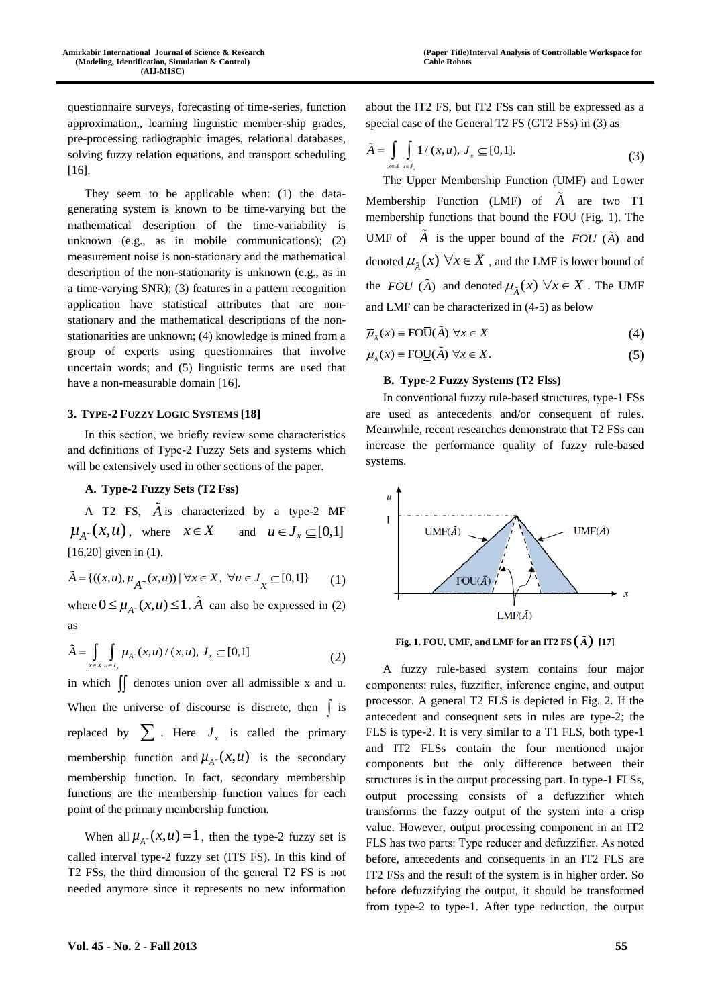questionnaire surveys, forecasting of time-series, function approximation,, learning linguistic member-ship grades, pre-processing radiographic images, relational databases, solving fuzzy relation equations, and transport scheduling [16].

They seem to be applicable when: (1) the datagenerating system is known to be time-varying but the mathematical description of the time-variability is unknown (e.g., as in mobile communications); (2) measurement noise is non-stationary and the mathematical description of the non-stationarity is unknown (e.g., as in a time-varying SNR); (3) features in a pattern recognition application have statistical attributes that are nonstationary and the mathematical descriptions of the nonstationarities are unknown; (4) knowledge is mined from a group of experts using questionnaires that involve uncertain words; and (5) linguistic terms are used that have a non-measurable domain [16].

## **3. TYPE-2 FUZZY LOGIC SYSTEMS [18]**

In this section, we briefly review some characteristics and definitions of Type-2 Fuzzy Sets and systems which will be extensively used in other sections of the paper.

# **A. Type-2 Fuzzy Sets (T2 Fss)**

A T2 FS, *A* is characterized by a type-2 MF  $\mu_{A^*}(x, u)$ , where  $x \in X$  and  $u \in J_x \subseteq [0,1]$ [16,20] given in (1).

[10,20] given in (1).  
\n
$$
\tilde{A} = \{((x, u), \mu_{A^*}(x, u)) \mid \forall x \in X, \ \forall u \in J_x \subseteq [0, 1]\}
$$
 (1)

where  $0 \leq \mu_{A}(\mathbf{x}, u) \leq 1$ .  $\tilde{A}$  can also be expressed in (2) as

as  

$$
\tilde{A} = \int_{x \in X} \int_{u \in J_x} \mu_{A^-}(x, u) / (x, u), J_x \subseteq [0, 1]
$$
 (2)

in which  $\iint$  denotes union over all admissible x and u. When the universe of discourse is discrete, then  $\int$  is replaced by  $\sum$ . Here  $J_x$  is called the primary membership function and  $\mu_{A}$  (*x*, *u*) is the secondary membership function. In fact, secondary membership functions are the membership function values for each point of the primary membership function.

When all  $\mu_{A^c}(x, u) = 1$ , then the type-2 fuzzy set is called interval type-2 fuzzy set (ITS FS). In this kind of T2 FSs, the third dimension of the general T2 FS is not needed anymore since it represents no new information

$$
\tilde{A} = \int_{x \in X} \int_{u \in J_x} 1/(x, u), J_x \subseteq [0, 1].
$$
\n(3)

The Upper Membership Function (UMF) and Lower Membership Function (LMF) of *A* are two T1 membership functions that bound the FOU (Fig. 1). The UMF of  $\overrightarrow{A}$  is the upper bound of the  $FOU(\tilde{A})$  and denoted  $\overline{\mu}_{\tilde{A}}(x) \,\,\forall x \in X$  , and the LMF is lower bound of the *FOU* ( $\tilde{A}$ ) and denoted  $\mu_{\tilde{A}}(x)$   $\forall x \in X$ . The UMF and LMF can be characterized in (4-5) as below

$$
\overline{\mu}_{\overline{\lambda}}(x) \equiv \text{FO}\overline{\text{U}}(\tilde{A}) \,\,\forall x \in X \tag{4}
$$

$$
\mu_{\tilde{A}}(x) \equiv \text{FOU}(\tilde{A}) \,\,\forall x \in X. \tag{5}
$$

## **B. Type-2 Fuzzy Systems (T2 Flss)**

In conventional fuzzy rule-based structures, type-1 FSs are used as antecedents and/or consequent of rules. Meanwhile, recent researches demonstrate that T2 FSs can increase the performance quality of fuzzy rule-based systems.



Fig. 1. FOU, UMF, and LMF for an IT2 FS  $\left(\begin{matrix} \widetilde{A} \end{matrix}\right)$  [17]

A fuzzy rule-based system contains four major components: rules, fuzzifier, inference engine, and output processor. A general T2 FLS is depicted in Fig. 2. If the antecedent and consequent sets in rules are type-2; the FLS is type-2. It is very similar to a T1 FLS, both type-1 and IT2 FLSs contain the four mentioned major components but the only difference between their structures is in the output processing part. In type-1 FLSs, output processing consists of a defuzzifier which transforms the fuzzy output of the system into a crisp value. However, output processing component in an IT2 FLS has two parts: Type reducer and defuzzifier. As noted before, antecedents and consequents in an IT2 FLS are IT2 FSs and the result of the system is in higher order. So before defuzzifying the output, it should be transformed from type-2 to type-1. After type reduction, the output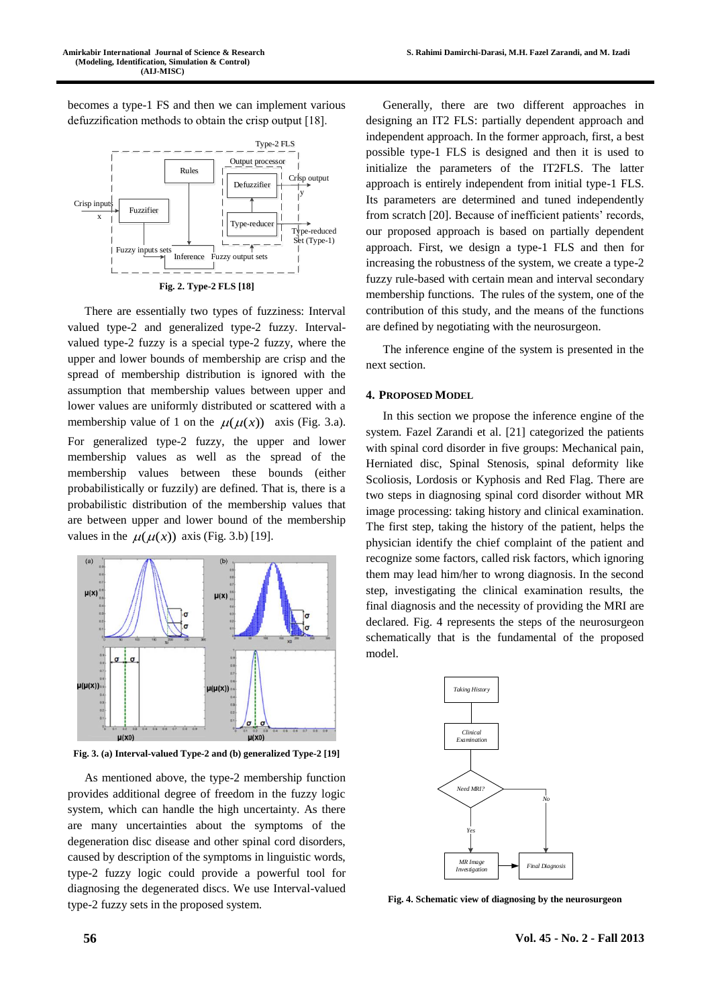becomes a type-1 FS and then we can implement various defuzzification methods to obtain the crisp output [18].



**Fig. 2. Type-2 FLS [18]**

There are essentially two types of fuzziness: Interval valued type-2 and generalized type-2 fuzzy. Intervalvalued type-2 fuzzy is a special type-2 fuzzy, where the upper and lower bounds of membership are crisp and the spread of membership distribution is ignored with the assumption that membership values between upper and lower values are uniformly distributed or scattered with a membership value of 1 on the  $\mu(\mu(x))$  axis (Fig. 3.a). For generalized type-2 fuzzy, the upper and lower membership values as well as the spread of the membership values between these bounds (either probabilistically or fuzzily) are defined. That is, there is a probabilistic distribution of the membership values that are between upper and lower bound of the membership values in the  $\mu(\mu(x))$  axis (Fig. 3.b) [19].



**Fig. 3. (a) Interval-valued Type-2 and (b) generalized Type-2 [19]**

As mentioned above, the type-2 membership function provides additional degree of freedom in the fuzzy logic system, which can handle the high uncertainty. As there are many uncertainties about the symptoms of the degeneration disc disease and other spinal cord disorders, caused by description of the symptoms in linguistic words, type-2 fuzzy logic could provide a powerful tool for diagnosing the degenerated discs. We use Interval-valued type-2 fuzzy sets in the proposed system.

Generally, there are two different approaches in designing an IT2 FLS: partially dependent approach and independent approach. In the former approach, first, a best possible type-1 FLS is designed and then it is used to initialize the parameters of the IT2FLS. The latter approach is entirely independent from initial type-1 FLS. Its parameters are determined and tuned independently from scratch [20]. Because of inefficient patients' records, our proposed approach is based on partially dependent approach. First, we design a type-1 FLS and then for increasing the robustness of the system, we create a type-2 fuzzy rule-based with certain mean and interval secondary membership functions. The rules of the system, one of the contribution of this study, and the means of the functions are defined by negotiating with the neurosurgeon.

The inference engine of the system is presented in the next section.

#### **4. PROPOSED MODEL**

In this section we propose the inference engine of the system. Fazel Zarandi et al. [21] categorized the patients with spinal cord disorder in five groups: Mechanical pain, Herniated disc, Spinal Stenosis, spinal deformity like Scoliosis, Lordosis or Kyphosis and Red Flag. There are two steps in diagnosing spinal cord disorder without MR image processing: taking history and clinical examination. The first step, taking the history of the patient, helps the physician identify the chief complaint of the patient and recognize some factors, called risk factors, which ignoring them may lead him/her to wrong diagnosis. In the second step, investigating the clinical examination results, the final diagnosis and the necessity of providing the MRI are declared. Fig. 4 represents the steps of the neurosurgeon schematically that is the fundamental of the proposed model.



**Fig. 4. Schematic view of diagnosing by the neurosurgeon**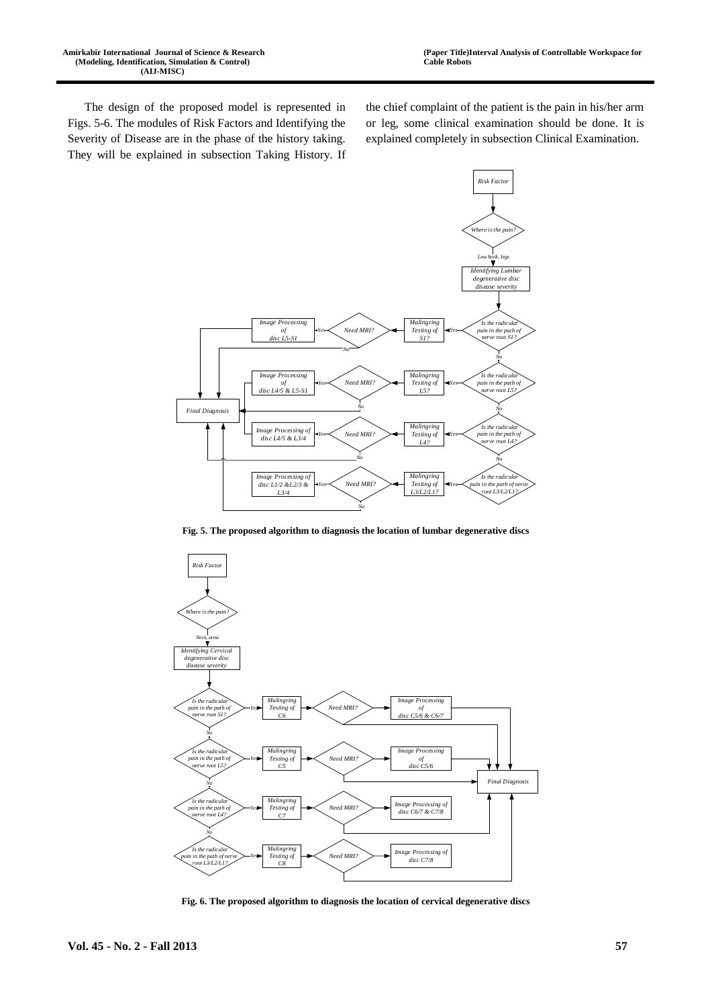The design of the proposed model is represented in Figs. 5-6. The modules of Risk Factors and Identifying the Severity of Disease are in the phase of the history taking. They will be explained in subsection Taking History. If the chief complaint of the patient is the pain in his/her arm or leg, some clinical examination should be done. It is explained completely in subsection Clinical Examination.



**Fig. 5. The proposed algorithm to diagnosis the location of lumbar degenerative discs**



**Fig. 6. The proposed algorithm to diagnosis the location of cervical degenerative discs**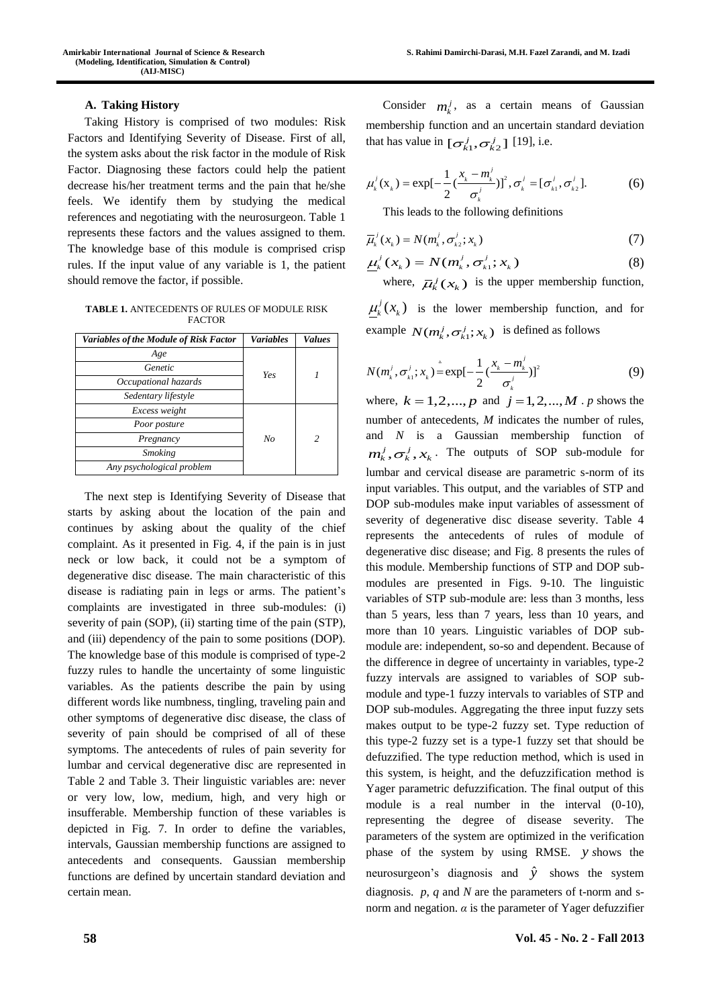## **A. Taking History**

Taking History is comprised of two modules: Risk Factors and Identifying Severity of Disease. First of all, the system asks about the risk factor in the module of Risk Factor. Diagnosing these factors could help the patient decrease his/her treatment terms and the pain that he/she feels. We identify them by studying the medical references and negotiating with the neurosurgeon. Table 1 represents these factors and the values assigned to them. The knowledge base of this module is comprised crisp rules. If the input value of any variable is 1, the patient should remove the factor, if possible.

**TABLE 1.** ANTECEDENTS OF RULES OF MODULE RISK **FACTOR** 

| <b>Variables of the Module of Risk Factor</b> | <b>Variables</b> | <b>Values</b> |
|-----------------------------------------------|------------------|---------------|
| Age                                           |                  |               |
| Genetic                                       | Yes              |               |
| Occupational hazards                          |                  |               |
| Sedentary lifestyle                           |                  |               |
| Excess weight                                 |                  |               |
| Poor posture                                  |                  |               |
| Pregnancy                                     | No               | 2             |
| <b>Smoking</b>                                |                  |               |
| Any psychological problem                     |                  |               |

The next step is Identifying Severity of Disease that starts by asking about the location of the pain and continues by asking about the quality of the chief complaint. As it presented in Fig. 4, if the pain is in just neck or low back, it could not be a symptom of degenerative disc disease. The main characteristic of this disease is radiating pain in legs or arms. The patient's complaints are investigated in three sub-modules: (i) severity of pain (SOP), (ii) starting time of the pain (STP), and (iii) dependency of the pain to some positions (DOP). The knowledge base of this module is comprised of type-2 fuzzy rules to handle the uncertainty of some linguistic variables. As the patients describe the pain by using different words like numbness, tingling, traveling pain and other symptoms of degenerative disc disease, the class of severity of pain should be comprised of all of these symptoms. The antecedents of rules of pain severity for lumbar and cervical degenerative disc are represented in Table 2 and Table 3. Their linguistic variables are: never or very low, low, medium, high, and very high or insufferable. Membership function of these variables is depicted in Fig. 7. In order to define the variables, intervals, Gaussian membership functions are assigned to antecedents and consequents. Gaussian membership functions are defined by uncertain standard deviation and certain mean.

Consider  $m_k^j$ , as a certain means of Gaussian membership function and an uncertain standard deviation that has value in  $\left[\sigma_{k_1}^j, \sigma_{k_2}^j\right]$  [19], i.e.

$$
\mu'_{k}(\mathbf{x}_{k}) = \exp[-\frac{1}{2}(\frac{x_{k} - m'_{k}}{\sigma'_{k}})]^{2}, \sigma'_{k} = [\sigma'_{k1}, \sigma'_{k2}].
$$
 (6)

This leads to the following definitions

$$
\overline{\mu}_k^j(x_k) = N(m_k^j, \sigma_{k2}^j; x_k)
$$
\n(7)

$$
\underline{\mu}_k^j(x_k) = N(m_k^j, \sigma_{k1}^j; x_k)
$$
\n(8)

where,  $\overline{\mu}_k^j(x_k)$  is the upper membership function,  $\mu_k^j(x_k)$  is the lower membership function, and for example  $N(m_k^j, \sigma_{k_1}^j; x_k)$  is defined as follows

$$
N(m_k^j, \sigma_{k1}^j; x_k) = \exp[-\frac{1}{2}(\frac{x_k - m_k^j}{\sigma_k^j})]^2
$$
 (9)

where,  $k = 1, 2, ..., p$  and  $j = 1, 2, ..., M$ . *p* shows the number of antecedents, *M* indicates the number of rules, and *N* is a Gaussian membership function of  $m_k^j, \sigma_k^j, x_k$ . The outputs of SOP sub-module for lumbar and cervical disease are parametric s-norm of its input variables. This output, and the variables of STP and DOP sub-modules make input variables of assessment of severity of degenerative disc disease severity. Table 4 represents the antecedents of rules of module of degenerative disc disease; and Fig. 8 presents the rules of this module. Membership functions of STP and DOP submodules are presented in Figs. 9-10. The linguistic variables of STP sub-module are: less than 3 months, less than 5 years, less than 7 years, less than 10 years, and more than 10 years. Linguistic variables of DOP submodule are: independent, so-so and dependent. Because of the difference in degree of uncertainty in variables, type-2 fuzzy intervals are assigned to variables of SOP submodule and type-1 fuzzy intervals to variables of STP and DOP sub-modules. Aggregating the three input fuzzy sets makes output to be type-2 fuzzy set. Type reduction of this type-2 fuzzy set is a type-1 fuzzy set that should be defuzzified. The type reduction method, which is used in this system, is height, and the defuzzification method is Yager parametric defuzzification. The final output of this module is a real number in the interval (0-10), representing the degree of disease severity. The parameters of the system are optimized in the verification phase of the system by using RMSE. *y s*hows the neurosurgeon's diagnosis and  $\hat{y}$  shows the system diagnosis. *p*, *q* and *N* are the parameters of t-norm and snorm and negation.  $\alpha$  is the parameter of Yager defuzzifier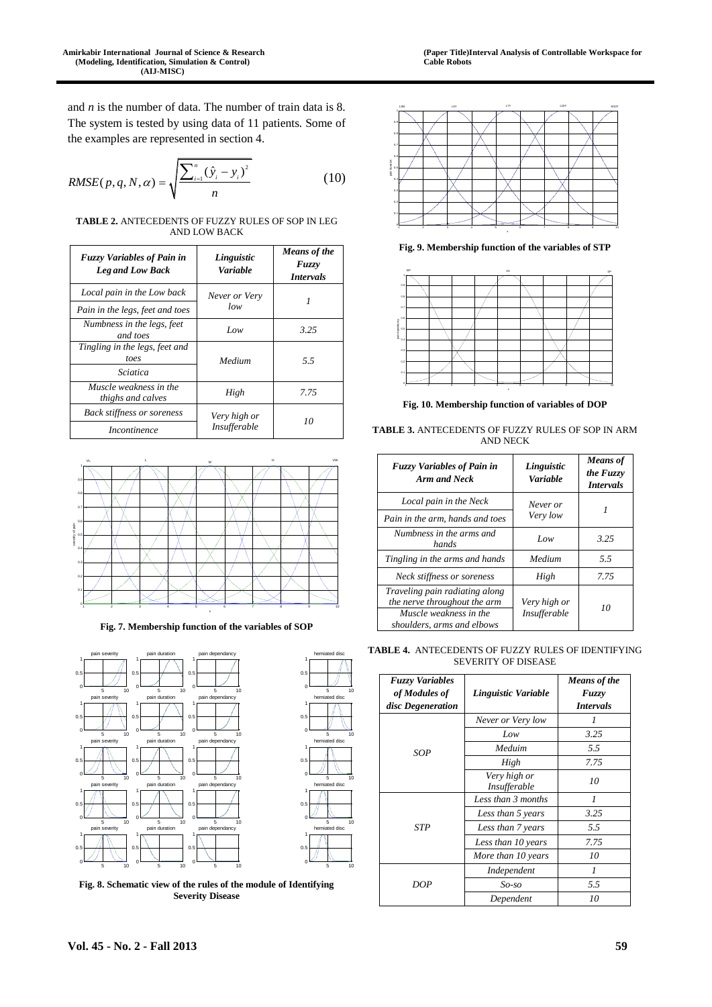and *n* is the number of data. The number of train data is 8. The system is tested by using data of 11 patients. Some of the examples are represented in section 4.

RMSE
$$
(p, q, N, \alpha) = \sqrt{\frac{\sum_{i=1}^{n} (\hat{y}_i - y_i)^2}{n}}
$$
 (10)

**TABLE 2.** ANTECEDENTS OF FUZZY RULES OF SOP IN LEG AND LOW BACK

| <b>Fuzzy Variables of Pain in</b><br><b>Leg and Low Back</b>              | Linguistic<br>Variable              | Means of the<br><b>Fuzzy</b><br><i>Intervals</i> |
|---------------------------------------------------------------------------|-------------------------------------|--------------------------------------------------|
| Local pain in the Low back                                                | Never or Very<br>low                |                                                  |
| Pain in the legs, feet and toes<br>Numbness in the legs, feet<br>and toes | Low                                 | 3.25                                             |
| Tingling in the legs, feet and<br>toes<br>Sciatica                        | Medium                              | 5.5                                              |
| Muscle weakness in the<br>thighs and calves                               | High                                | 7.75                                             |
| <b>Back stiffness or soreness</b><br><i>Incontinence</i>                  | Very high or<br><b>Insufferable</b> | 10                                               |



**Fig. 7. Membership function of the variables of SOP** 





 $1<sub>r</sub>$ herniated disc

**Fig. 8. Schematic view of the rules of the module of Identifying Severity Disease** 



**Fig. 9. Membership function of the variables of STP** 



**Fig. 10. Membership function of variables of DOP** 

| <b>TABLE 3.</b> ANTECEDENTS OF FUZZY RULES OF SOP IN ARM |
|----------------------------------------------------------|
| AND NECK                                                 |
|                                                          |

| <b>Fuzzy Variables of Pain in</b><br>Arm and Neck                                                                      | Linguistic<br><b>Variable</b>       | <b>Means</b> of<br>the Fuzzy<br><i>Intervals</i> |  |
|------------------------------------------------------------------------------------------------------------------------|-------------------------------------|--------------------------------------------------|--|
| Local pain in the Neck<br>Pain in the arm, hands and toes                                                              | Never or<br>Very low                |                                                  |  |
| Numbness in the arms and<br>hands                                                                                      | Low                                 | 3.25                                             |  |
| Tingling in the arms and hands                                                                                         | Medium                              | 5.5                                              |  |
| Neck stiffness or soreness                                                                                             | High                                | 7.75                                             |  |
| Traveling pain radiating along<br>the nerve throughout the arm<br>Muscle weakness in the<br>shoulders, arms and elbows | Very high or<br><i>Insufferable</i> | 10                                               |  |

TABLE 4. ANTECEDENTS OF FUZZY RULES OF IDENTIFYING SEVERITY OF DISEASE

| <b>Fuzzy Variables</b><br>of Modules of<br>disc Degeneration | Linguistic Variable          | Means of the<br>Fuzzy<br><b>Intervals</b> |
|--------------------------------------------------------------|------------------------------|-------------------------------------------|
|                                                              | Never or Very low            | 1                                         |
| SOP                                                          | Low                          | 3.25                                      |
|                                                              | Meduim                       | 5.5                                       |
|                                                              | High                         | 7.75                                      |
|                                                              | Very high or<br>Insufferable | 10                                        |
|                                                              | Less than 3 months           | $\mathcal I$                              |
|                                                              | Less than 5 years            | 3.25                                      |
| STP                                                          | Less than 7 years            | 5.5                                       |
|                                                              | Less than 10 years           | 7.75                                      |
|                                                              | More than 10 years           | 10                                        |
|                                                              | Independent                  | 1                                         |
| DOP                                                          | So-so                        | 5.5                                       |
|                                                              | Dependent                    | 10                                        |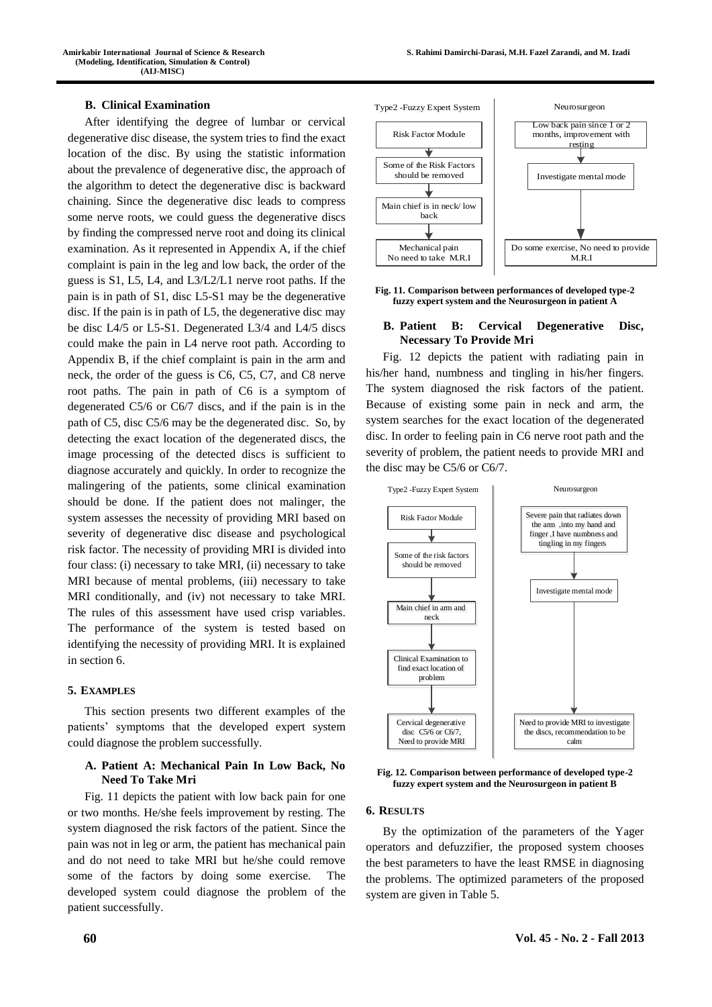#### **B. Clinical Examination**

After identifying the degree of lumbar or cervical degenerative disc disease, the system tries to find the exact location of the disc. By using the statistic information about the prevalence of degenerative disc, the approach of the algorithm to detect the degenerative disc is backward chaining. Since the degenerative disc leads to compress some nerve roots, we could guess the degenerative discs by finding the compressed nerve root and doing its clinical examination. As it represented in Appendix A, if the chief complaint is pain in the leg and low back, the order of the guess is S1, L5, L4, and L3/L2/L1 nerve root paths. If the pain is in path of S1, disc L5-S1 may be the degenerative disc. If the pain is in path of L5, the degenerative disc may be disc L4/5 or L5-S1. Degenerated L3/4 and L4/5 discs could make the pain in L4 nerve root path. According to Appendix B, if the chief complaint is pain in the arm and neck, the order of the guess is C6, C5, C7, and C8 nerve root paths. The pain in path of C6 is a symptom of degenerated C5/6 or C6/7 discs, and if the pain is in the path of C5, disc C5/6 may be the degenerated disc. So, by detecting the exact location of the degenerated discs, the image processing of the detected discs is sufficient to diagnose accurately and quickly. In order to recognize the malingering of the patients, some clinical examination should be done. If the patient does not malinger, the system assesses the necessity of providing MRI based on severity of degenerative disc disease and psychological risk factor. The necessity of providing MRI is divided into four class: (i) necessary to take MRI, (ii) necessary to take MRI because of mental problems, (iii) necessary to take MRI conditionally, and (iv) not necessary to take MRI. The rules of this assessment have used crisp variables. The performance of the system is tested based on identifying the necessity of providing MRI. It is explained in section 6.

## **5. EXAMPLES**

This section presents two different examples of the patients' symptoms that the developed expert system could diagnose the problem successfully.

## **A. Patient A: Mechanical Pain In Low Back, No Need To Take Mri**

Fig. 11 depicts the patient with low back pain for one or two months. He/she feels improvement by resting. The system diagnosed the risk factors of the patient. Since the pain was not in leg or arm, the patient has mechanical pain and do not need to take MRI but he/she could remove some of the factors by doing some exercise. The developed system could diagnose the problem of the patient successfully.



**Fig. 11. Comparison between performances of developed type-2 fuzzy expert system and the Neurosurgeon in patient A** 

#### **B. Patient B: Cervical Degenerative Disc, Necessary To Provide Mri**

Fig. 12 depicts the patient with radiating pain in his/her hand, numbness and tingling in his/her fingers. The system diagnosed the risk factors of the patient. Because of existing some pain in neck and arm, the system searches for the exact location of the degenerated disc. In order to feeling pain in C6 nerve root path and the severity of problem, the patient needs to provide MRI and the disc may be C5/6 or C6/7.



**Fig. 12. Comparison between performance of developed type-2 fuzzy expert system and the Neurosurgeon in patient B** 

#### **6. RESULTS**

By the optimization of the parameters of the Yager operators and defuzzifier, the proposed system chooses the best parameters to have the least RMSE in diagnosing the problems. The optimized parameters of the proposed system are given in Table 5.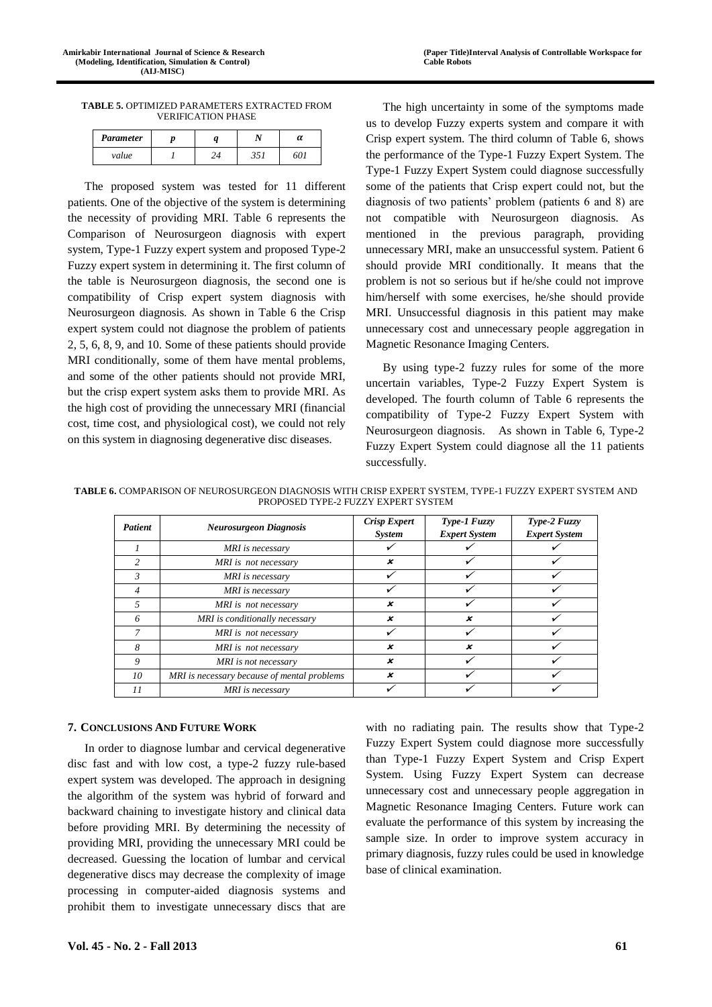**TABLE 5.** OPTIMIZED PARAMETERS EXTRACTED FROM VERIFICATION PHASE

| Parameter |  |  |
|-----------|--|--|
| value     |  |  |

The proposed system was tested for 11 different patients. One of the objective of the system is determining the necessity of providing MRI. Table 6 represents the Comparison of Neurosurgeon diagnosis with expert system, Type-1 Fuzzy expert system and proposed Type-2 Fuzzy expert system in determining it. The first column of the table is Neurosurgeon diagnosis, the second one is compatibility of Crisp expert system diagnosis with Neurosurgeon diagnosis. As shown in Table 6 the Crisp expert system could not diagnose the problem of patients 2, 5, 6, 8, 9, and 10. Some of these patients should provide MRI conditionally, some of them have mental problems, and some of the other patients should not provide MRI, but the crisp expert system asks them to provide MRI. As the high cost of providing the unnecessary MRI (financial cost, time cost, and physiological cost), we could not rely on this system in diagnosing degenerative disc diseases.

The high uncertainty in some of the symptoms made us to develop Fuzzy experts system and compare it with Crisp expert system. The third column of Table 6, shows the performance of the Type-1 Fuzzy Expert System. The Type-1 Fuzzy Expert System could diagnose successfully some of the patients that Crisp expert could not, but the diagnosis of two patients' problem (patients 6 and 8) are not compatible with Neurosurgeon diagnosis. As mentioned in the previous paragraph, providing unnecessary MRI, make an unsuccessful system. Patient 6 should provide MRI conditionally. It means that the problem is not so serious but if he/she could not improve him/herself with some exercises, he/she should provide MRI. Unsuccessful diagnosis in this patient may make unnecessary cost and unnecessary people aggregation in Magnetic Resonance Imaging Centers.

By using type-2 fuzzy rules for some of the more uncertain variables, Type-2 Fuzzy Expert System is developed. The fourth column of Table 6 represents the compatibility of Type-2 Fuzzy Expert System with Neurosurgeon diagnosis. As shown in Table 6, Type-2 Fuzzy Expert System could diagnose all the 11 patients successfully.

**TABLE 6.** COMPARISON OF NEUROSURGEON DIAGNOSIS WITH CRISP EXPERT SYSTEM, TYPE-1 FUZZY EXPERT SYSTEM AND PROPOSED TYPE-2 FUZZY EXPERT SYSTEM

| <b>Patient</b> | <b>Neurosurgeon Diagnosis</b>               | <b>Crisp Expert</b><br><b>System</b> | Type-1 Fuzzy<br><b>Expert System</b> | Type-2 Fuzzy<br><b>Expert System</b> |
|----------------|---------------------------------------------|--------------------------------------|--------------------------------------|--------------------------------------|
|                | MRI is necessary                            |                                      |                                      |                                      |
| $\mathfrak{D}$ | MRI is not necessary                        | x                                    |                                      |                                      |
| 3              | MRI is necessary                            |                                      |                                      |                                      |
| 4              | MRI is necessary                            |                                      |                                      |                                      |
| 5              | MRI is not necessary                        | x                                    |                                      |                                      |
| 6              | MRI is conditionally necessary              | x                                    | ×                                    |                                      |
| 7              | MRI is not necessary                        |                                      |                                      |                                      |
| 8              | MRI is not necessary                        | x                                    | ×                                    |                                      |
| 9              | MRI is not necessary                        | x                                    |                                      |                                      |
| 10             | MRI is necessary because of mental problems | x                                    |                                      |                                      |
| 11             | MRI is necessary                            |                                      |                                      |                                      |

# **7. CONCLUSIONS AND FUTURE WORK**

In order to diagnose lumbar and cervical degenerative disc fast and with low cost, a type-2 fuzzy rule-based expert system was developed. The approach in designing the algorithm of the system was hybrid of forward and backward chaining to investigate history and clinical data before providing MRI. By determining the necessity of providing MRI, providing the unnecessary MRI could be decreased. Guessing the location of lumbar and cervical degenerative discs may decrease the complexity of image processing in computer-aided diagnosis systems and prohibit them to investigate unnecessary discs that are

with no radiating pain. The results show that Type-2 Fuzzy Expert System could diagnose more successfully than Type-1 Fuzzy Expert System and Crisp Expert System. Using Fuzzy Expert System can decrease unnecessary cost and unnecessary people aggregation in Magnetic Resonance Imaging Centers. Future work can evaluate the performance of this system by increasing the sample size. In order to improve system accuracy in primary diagnosis, fuzzy rules could be used in knowledge base of clinical examination.